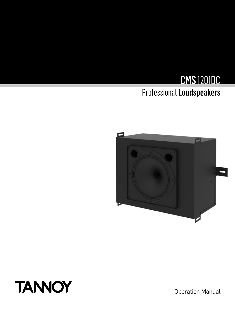# CMS 1201DC Professional Loudspeakers





Operation Manual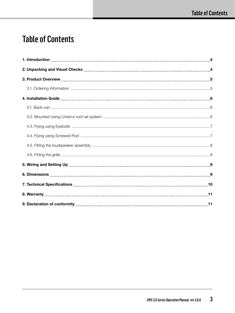### Table of Contents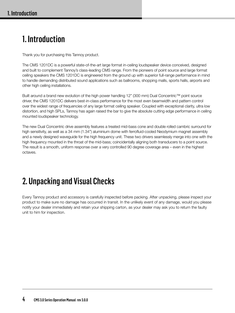### 1. Introduction

Thank you for purchasing this Tannoy product.

The CMS 1201DC is a powerful state-of-the-art large format in-ceiling loudspeaker device conceived, designed and built to complement Tannoy's class-leading CMS range. From the pioneers of point source and large format ceiling speakers the CMS 1201DC is engineered from the ground up with superior full-range performance in mind to handle demanding distributed sound applications such as ballrooms, shopping malls, sports halls, airports and other high ceiling installations.

Built around a brand new evolution of the high power handling 12" (300 mm) Dual Concentric™ point source driver, the CMS 1201DC delivers best-in-class performance for the most even beamwidth and pattern control over the widest range of frequencies of any large format ceiling speaker. Coupled with exceptional clarity, ultra low distortion, and high SPLs, Tannoy has again raised the bar to give the absolute cutting edge performance in ceiling mounted loudspeaker technology.

The new Dual Concentric drive assembly features a treated mid-bass cone and double rolled cambric surround for high sensitivity, as well as a 34 mm (1.34") aluminium dome with ferrofluid-cooled Neodymium magnet assembly and a newly designed waveguide for the high frequency unit. These two drivers seamlessly merge into one with the high frequency mounted in the throat of the mid-bass; coincidentally aligning both transducers to a point source. The result is a smooth, uniform response over a very controlled 90 degree coverage area – even in the highest octaves.

# 2. Unpacking and Visual Checks

Every Tannoy product and accessory is carefully inspected before packing. After unpacking, please inspect your product to make sure no damage has occurred in transit. In the unlikely event of any damage, would you please notify your dealer immediately and retain your shipping carton, as your dealer may ask you to return the faulty unit to him for inspection.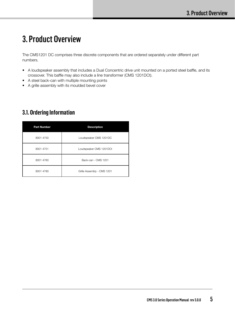### 3. Product Overview

The CMS1201 DC comprises three discrete components that are ordered separately under different part numbers.

- A loudspeaker assembly that includes a Dual Concentric drive unit mounted on a ported steel baffle, and its crossover. This baffle may also include a line transformer (CMS 1201DCt).
- A steel back-can with multiple mounting points
- A grille assembly with its moulded bevel cover

#### **3.1. Ordering Information**

| <b>Part Number</b> | <b>Description</b>         |  |
|--------------------|----------------------------|--|
| 8001 4750          | Loudspeaker CMS 1201DC     |  |
| 8001 4751          | Loudspeaker CMS 1201DCt    |  |
| 8001 4760          | Back-can - CMS 1201        |  |
| 8001 4780          | Grille Assembly - CMS 1201 |  |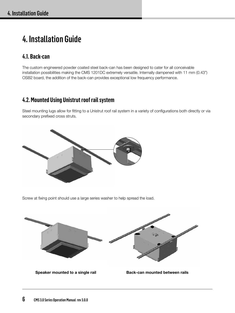# 4. Installation Guide

#### **4.1. Back-can**

The custom engineered powder coated steel back-can has been designed to cater for all conceivable installation possibilities making the CMS 1201DC extremely versatile. Internally dampened with 11 mm (0.43") OSB2 board, the addition of the back-can provides exceptional low frequency performance.

### **4.2. Mounted Using Unistrut roof rail system**

Steel mounting lugs allow for fitting to a Unistrut roof rail system in a variety of configurations both directly or via secondary prefixed cross struts.



Screw at fixing point should use a large series washer to help spread the load.



**Speaker mounted to a single rail Back-can mounted between rails**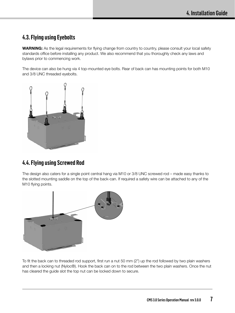#### **4.3. Flying using Eyebolts**

**WARNING:** As the legal requirements for flying change from country to country, please consult your local safety standards office before installing any product. We also recommend that you thoroughly check any laws and bylaws prior to commencing work.

The device can also be hung via 4 top-mounted eye bolts. Rear of back can has mounting points for both M10 and 3/8 UNC threaded eyebolts.



#### **4.4. Flying using Screwed Rod**

The design also caters for a single point central hang via M10 or 3/8 UNC screwed rod – made easy thanks to the slotted mounting saddle on the top of the back-can. If required a safety wire can be attached to any of the M10 flying points.



To fit the back can to threaded rod support, first run a nut 50 mm (2") up the rod followed by two plain washers and then a locking nut (Nyloc®). Hook the back can on to the rod between the two plain washers. Once the nut has cleared the guide slot the top nut can be locked down to secure.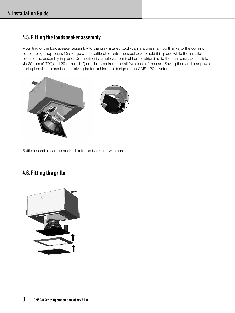#### **4.5. Fitting the loudspeaker assembly**

Mounting of the loudspeaker assembly to the pre-installed back-can is a one man job thanks to the common sense design approach. One edge of the baffle clips onto the steel box to hold it in place while the installer secures the assembly in place. Connection is simple via terminal barrier strips inside the can, easily accessible via 20 mm (0.79") and 29 mm (1.14") conduit knockouts on all five sides of the can. Saving time and manpower during installation has been a driving factor behind the design of the CMS 1201 system.



Baffle assemble can be hooked onto the back can with care.

### **4.6. Fitting the grille**

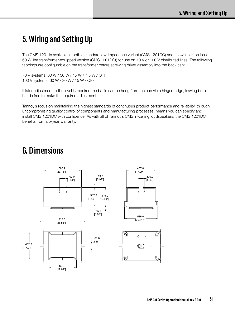### 5. Wiring and Setting Up

The CMS 1201 is available in both a standard low-impedance variant (CMS 1201DC) and a low insertion loss 60 W line transformer-equipped version (CMS 1201DCt) for use on 70 V or 100 V distributed lines. The following tappings are configurable on the transformer before screwing driver assembly into the back can:

70 V systems: 60 W / 30 W / 15 W / 7.5 W / OFF 100 V systems: 60 W / 30 W / 15 W / OFF

If later adjustment to the level is required the baffle can be hung from the can via a hinged edge, leaving both hands free to make the required adjustment.

Tannoy's focus on maintaining the highest standards of continuous product performance and reliability, through uncompromising quality control of components and manufacturing processes, means you can specify and install CMS 1201DC with confidence. As with all of Tannoy's CMS in-ceiling loudspeakers, the CMS 1201DC benefits from a 5-year warranty.

### 6. Dimensions

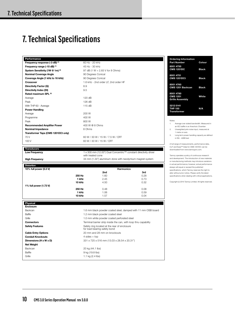### 7. Technical Specifications

| Performance                                 |                                      |
|---------------------------------------------|--------------------------------------|
| Frequency response (-3 dB) (1)              | 60 Hz - 20 kHz                       |
| Frequency range (-10 dB) (1)                | 45 Hz - 30 kHz                       |
| System Sensitivity (1W @ 1m) <sup>(2)</sup> | 97 dB (1 W = $2.83$ V for 8 Ohms)    |
| <b>Nominal Coverage Angle</b>               | 90 Degrees Conical                   |
| Coverage Angle (1 kHz to 16 kHz)            | 90 Degrees Conical                   |
| <b>Crossover</b>                            | 1.6 kHz - 2nd order LF, 2nd order HF |
| Directivity Factor (Q)                      | 8.9                                  |
| Directivity Index (DI)                      | 9.5                                  |
| Rated maximum SPL (2)                       |                                      |
| Average                                     | 120 dB                               |
| Peak                                        | 126 dB                               |
| With THP 60 - Average                       | 115 dB                               |
| <b>Power Handling</b>                       |                                      |
| Average                                     | 200 W                                |
| Programme                                   | 400 W                                |
| Peak                                        | 800 W                                |
| <b>Recommended Amplifier Power</b>          | 400 W @ 8 Ohms                       |
| <b>Nominal Impedance</b>                    | 8 Ohms                               |
| Transformer Taps (CMS 1201DCt only)         |                                      |
| 70 V                                        | 60 W / 30 W / 15 W / 7.5 W / OFF     |
| 100 V                                       | 60 W / 30 W / 15 W / OFF             |
|                                             |                                      |

#### **Transducers**

**Net Weight**

Low Frequency **1 x 300 mm (12.00")** Dual Concentric™ constant directivity driver with treated cone

**High Frequency** 34 mm (1.34") aluminium done with neodymium magnet system

### **Distortion 10% full power (5.5 V) Harmonics**

|                        |        | 2nd  | 3rd  |
|------------------------|--------|------|------|
|                        | 250 Hz | 1.60 | 0.28 |
|                        | 1 kHz  | 2.45 | 0.73 |
|                        | 10 kHz | 4.50 | 0.32 |
| 1% full power (1.73 V) |        |      |      |
|                        | 250 Hz | 0.48 | 0.08 |
|                        | 1 kHz  | 1.06 | 0.59 |
|                        | 10 kHz | 1.57 | 0.04 |

**Physical Enclosure** Backcan 1.6 mm black powder coated steel, damped with 11 mm OSB board

Baffle 1.2 mm black powder coated steel Grille 3.1.0 mm white powder coated perforated steel **Connectors** Terminal barrier strip inside the can, with loop thru capability **Safety Features** Safety ring located at the rear of enclosure for load bearing safety bond **Cable Entry Options** 20 mm and 28 mm on knockouts **Conduit Knockouts** 4 sides + top **Dimensions (H x W x D)** 331 x 725 x 516 mm (13.03 x 28.54 x 20.31") Backcan 20 kg (44.1 lbs) Baffle 9 kg (19.8 lbs)

| <b>Ordering Information</b><br><b>Part Number</b> | Colour       |
|---------------------------------------------------|--------------|
| 8001 4750<br><b>CMS 1201DC</b>                    | <b>Black</b> |
| 8001 4751<br><b>CMS 1201DCt</b>                   | <b>Black</b> |
| 8001 4760<br>CMS 1201 Backcan                     | Black        |
| 8001 4780<br><b>CMS 1201</b>                      | White        |
| <b>Grille Assembly</b>                            |              |
| 3212 0141<br><b>THP 150</b><br><b>Transformer</b> | N/A          |

#### Notes:

- 1. Average over stated bandwidth. Measured in an IEC baffle in an Anechoic Chamber
- 2. Unweighted pink noise input, measured at 1 metre on axis
- 3. Long term power handling capacity as defined in EIA - 426B test

A full range of measurements, performance data, CLF and Ease™ Data for CMS 1201DC can be downloaded from www.tannoypro.com.

Tannoy operates a policy of continuous research and development. The introduction of new materials or manufacturing methods may introduce variations in actual performance; however, actual performance always will equal or exceed the published specifications, which Tannoy reserves the right to alter without prior notice. Please verify the latest specifications when dealing with critical applications.

Copyright (c) 2015 Tannoy Limited. All rights reserved.

Grille 1.1 kg (2.4 lbs)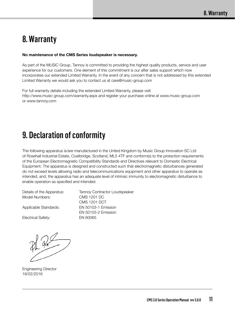### 8. Warranty

#### **No maintenance of the CMS Series loudspeaker is necessary.**

As part of the MUSIC Group, Tannoy is committed to providing the highest quality products, service and user experience for our customers. One element of this commitment is our after sales support which now incorporates our extended Limited Warranty. In the event of any concern that is not addressed by this extended Limited Warranty we would ask you to contact us at care@music-group.com

For full warranty details including the extended Limited Warranty, please visit http://www.music-group.com/warranty.aspx and register your purchase online at www.music-group.com or www.tannoy.com

### 9. Declaration of conformity

The following apparatus is/are manufactured in the United Kingdom by Music Group Innovation SC Ltd of Rosehall Industrial Estate, Coatbridge, Scotland, ML5 4TF and conform(s) to the protection requirements of the European Electromagnetic Compatibility Standards and Directives relevant to Domestic Electrical Equipment. The apparatus is designed and constructed such that electromagnetic disturbances generated do not exceed levels allowing radio and telecommunications equipment and other apparatus to operate as intended, and, the apparatus has an adequate level of intrinsic immunity to electromagnetic disturbance to enable operation as specified and intended.

Details of the Apparatus: Tannoy Contractor Loudspeaker Model Numbers: CMS 1201 DC

Electrical Safety: EN 60065

CMS 1201 DCT Applicable Standards: EN 50103-1 Emission EN 50103-2 Emission

Engineering Director 18/02/2016